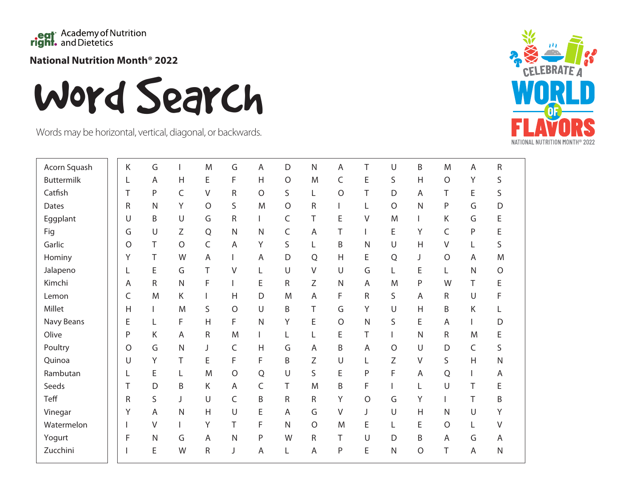

**National Nutrition Month® 2022**

Word Search

Words may be horizontal, vertical, diagonal, or backwards.



| Acorn Squash | Κ       | G            |              | M              | G            | Α              | D            | $\mathsf{N}$ | Α            | Τ            | U            | B              | M           | A            | ${\sf R}$    |
|--------------|---------|--------------|--------------|----------------|--------------|----------------|--------------|--------------|--------------|--------------|--------------|----------------|-------------|--------------|--------------|
| Buttermilk   | L       | A            | H            | Ε              | F            | H              | $\circ$      | M            | C            | E            | S            | $\overline{H}$ | $\circ$     | Υ            | S            |
| Catfish      | T       | P            | $\mathsf C$  | $\vee$         | ${\sf R}$    | $\circ$        | S            | L            | O            | T            | D            | A              | T           | E            | S            |
| Dates        | R       | $\mathsf{N}$ | Υ            | $\circ$        | S            | M              | $\circ$      | R            |              | L            | $\circ$      | $\mathsf{N}$   | P           | G            | D            |
| Eggplant     | U       | B            | U            | G              | R            |                | C            | Τ            | E            | V            | M            | $\mathbf{I}$   | Κ           | G            | E            |
| Fig          | G       | U            | Ζ            | ${\sf Q}$      | $\mathsf{N}$ | N              | $\mathsf C$  | A            | Τ            |              | E            | Υ              | $\mathsf C$ | P            | E            |
| Garlic       | $\circ$ | T            | $\circ$      | $\mathsf C$    | $\mathsf{A}$ | Y              | S            | Г            | B            | $\mathsf{N}$ | $\cup$       | $\overline{H}$ | $\vee$      | L            | S            |
| Hominy       | Y       | Τ            | W            | $\overline{A}$ |              | A              | D            | $\mathsf Q$  | H            | E            | Q            | J              | $\circ$     | A            | M            |
| Jalapeno     |         | E            | G            | Τ              | V            | L              | $\cup$       | V            | U            | G            | L            | E              | L           | $\mathsf{N}$ | $\bigcirc$   |
| Kimchi       | A       | R            | ${\sf N}$    | $\mathsf F$    | I            | E              | ${\sf R}$    | Ζ            | $\mathsf{N}$ | A            | M            | ${\sf P}$      | W           | Τ            | E            |
| Lemon        | C       | M            | K            | L              | Η            | D              | M            | A            | F            | R            | S            | A              | $\mathsf R$ | $\cup$       | F            |
| Millet       | Η       |              | M            | S              | $\circ$      | $\cup$         | B            | T            | G            | Υ            | $\cup$       | $\overline{H}$ | B           | Κ            |              |
| Navy Beans   | E       | L            | F            | $\overline{H}$ | F            | $\mathsf{N}$   | Υ            | Ε            | $\circ$      | $\mathsf{N}$ | S            | E              | A           |              | D            |
| Olive        | P       | Κ            | A            | R              | M            |                | L            | L            | Ε            | Τ            |              | $\mathsf{N}$   | $\mathsf R$ | M            | E            |
| Poultry      | $\circ$ | G            | $\mathsf{N}$ | J              | C            | H              | G            | A            | B            | A            | $\circ$      | U              | D           | C            | S            |
| Quinoa       | U       | Υ            | Τ            | Ε              | F            | F              | B            | Ζ            | U            | L            | Z            | V              | S           | H            | ${\sf N}$    |
| Rambutan     |         | E            | L            | M              | $\bigcirc$   | $\mathsf Q$    | $\cup$       | S            | E            | P            | F            | A              | Q           |              | A            |
| Seeds        | Τ       | D            | Β            | К              | A            | C              | Τ            | M            | B            | F            |              | Г              | $\cup$      | Τ            | E            |
| Teff         | R       | $\sf S$      | J            | U              | C            | B              | ${\sf R}$    | R            | Υ            | $\circ$      | G            | Υ              | T           | Τ            | Β            |
| Vinegar      | Υ       | A            | $\mathsf{N}$ | $\mathsf{H}$   | $\cup$       | E              | A            | G            | $\vee$       | J            | $\cup$       | H              | N           | U            | Υ            |
| Watermelon   |         | $\vee$       |              | Υ              | Τ            | F              | $\mathsf{N}$ | $\circ$      | M            | E            | L            | E              | $\circ$     | L            | V            |
| Yogurt       | F       | $\mathsf{N}$ | G            | A              | $\mathsf{N}$ | P              | W            | R            | Τ            | U            | D            | B              | A           | G            | A            |
| Zucchini     |         | E            | W            | ${\sf R}$      | J            | $\overline{A}$ | L            | A            | $\mathsf{P}$ | E            | $\mathsf{N}$ | $\circ$        | T           | A            | $\mathsf{N}$ |
|              |         |              |              |                |              |                |              |              |              |              |              |                |             |              |              |